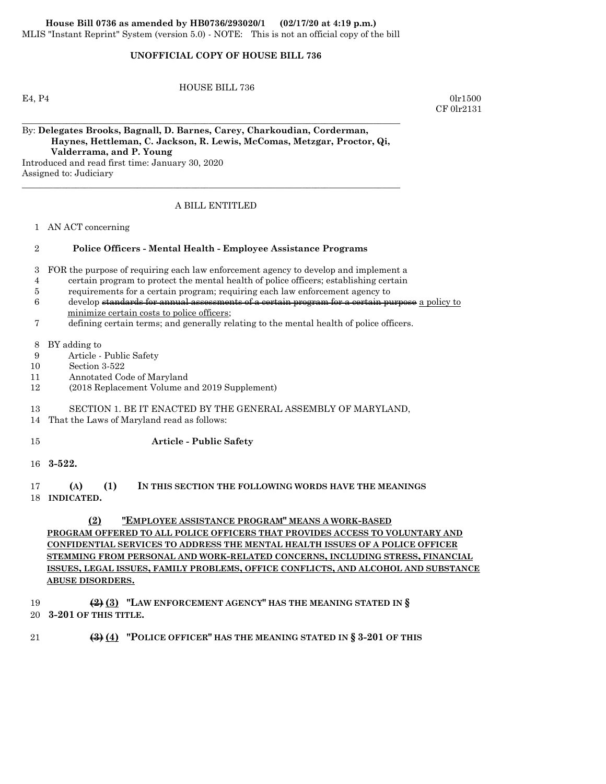## **UNOFFICIAL COPY OF HOUSE BILL 736**

HOUSE BILL 736

 $E_4, P_4$  0lr1500 CF 0lr2131

By: **Delegates Brooks, Bagnall, D. Barnes, Carey, Charkoudian, Corderman, Haynes, Hettleman, C. Jackson, R. Lewis, McComas, Metzgar, Proctor, Qi, Valderrama, and P. Young** Introduced and read first time: January 30, 2020

\_\_\_\_\_\_\_\_\_\_\_\_\_\_\_\_\_\_\_\_\_\_\_\_\_\_\_\_\_\_\_\_\_\_\_\_\_\_\_\_\_\_\_\_\_\_\_\_\_\_\_\_\_\_\_\_\_\_\_\_\_\_\_\_\_\_\_\_\_\_\_\_\_\_\_\_\_\_\_\_\_\_\_\_\_

Assigned to: Judiciary

### A BILL ENTITLED

\_\_\_\_\_\_\_\_\_\_\_\_\_\_\_\_\_\_\_\_\_\_\_\_\_\_\_\_\_\_\_\_\_\_\_\_\_\_\_\_\_\_\_\_\_\_\_\_\_\_\_\_\_\_\_\_\_\_\_\_\_\_\_\_\_\_\_\_\_\_\_\_\_\_\_\_\_\_\_\_\_\_\_\_\_

1 AN ACT concerning

## 2 **Police Officers - Mental Health - Employee Assistance Programs**

3 FOR the purpose of requiring each law enforcement agency to develop and implement a

- 4 certain program to protect the mental health of police officers; establishing certain
- 5 requirements for a certain program; requiring each law enforcement agency to
- 6 develop standards for annual assessments of a certain program for a certain purpose a policy to minimize certain costs to police officers;

7 defining certain terms; and generally relating to the mental health of police officers.

8 BY adding to

- 9 Article Public Safety
- 10 Section 3-522
- 11 Annotated Code of Maryland
- 12 (2018 Replacement Volume and 2019 Supplement)

## 13 SECTION 1. BE IT ENACTED BY THE GENERAL ASSEMBLY OF MARYLAND,

14 That the Laws of Maryland read as follows:

### 15 **Article - Public Safety**

16 **3-522.**

## 17 **(A) (1) IN THIS SECTION THE FOLLOWING WORDS HAVE THE MEANINGS** 18 **INDICATED.**

**(2) "EMPLOYEE ASSISTANCE PROGRAM" MEANS A WORK-BASED**

# **PROGRAM OFFERED TO ALL POLICE OFFICERS THAT PROVIDES ACCESS TO VOLUNTARY AND CONFIDENTIAL SERVICES TO ADDRESS THE MENTAL HEALTH ISSUES OF A POLICE OFFICER STEMMING FROM PERSONAL AND WORK-RELATED CONCERNS, INCLUDING STRESS, FINANCIAL ISSUES, LEGAL ISSUES, FAMILY PROBLEMS, OFFICE CONFLICTS, AND ALCOHOL AND SUBSTANCE ABUSE DISORDERS.**

 19 **(2) (3) "LAW ENFORCEMENT AGENCY" HAS THE MEANING STATED IN §** 20 **3-201 OF THIS TITLE.**

## 21 **(3) (4) "POLICE OFFICER" HAS THE MEANING STATED IN § 3-201 OF THIS**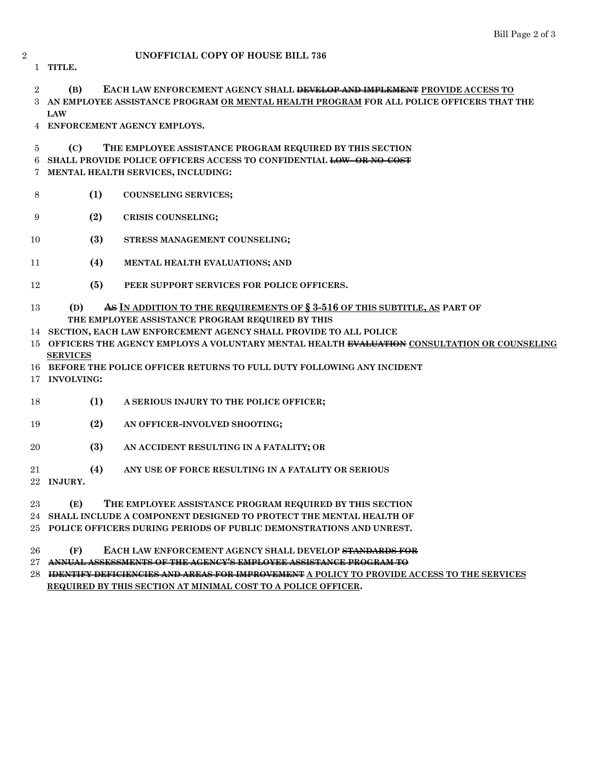## **UNOFFICIAL COPY OF HOUSE BILL 736**

**TITLE.**

**(B) EACH LAW ENFORCEMENT AGENCY SHALL DEVELOP AND IMPLEMENT PROVIDE ACCESS TO AN EMPLOYEE ASSISTANCE PROGRAM OR MENTAL HEALTH PROGRAM FOR ALL POLICE OFFICERS THAT THE LAW**

**ENFORCEMENT AGENCY EMPLOYS.**

# **(C) THE EMPLOYEE ASSISTANCE PROGRAM REQUIRED BY THIS SECTION**

**SHALL PROVIDE POLICE OFFICERS ACCESS TO CONFIDENTIAL LOW- OR NO-COST**

**MENTAL HEALTH SERVICES, INCLUDING:**

- **(1) COUNSELING SERVICES;**
- **(2) CRISIS COUNSELING;**
- **(3) STRESS MANAGEMENT COUNSELING;**
- **(4) MENTAL HEALTH EVALUATIONS; AND**
- **(5) PEER SUPPORT SERVICES FOR POLICE OFFICERS.**

## **(D) AS IN ADDITION TO THE REQUIREMENTS OF § 3-516 OF THIS SUBTITLE, AS PART OF THE EMPLOYEE ASSISTANCE PROGRAM REQUIRED BY THIS**

- **SECTION, EACH LAW ENFORCEMENT AGENCY SHALL PROVIDE TO ALL POLICE**
- **OFFICERS THE AGENCY EMPLOYS A VOLUNTARY MENTAL HEALTH EVALUATION CONSULTATION OR COUNSELING SERVICES**
- **BEFORE THE POLICE OFFICER RETURNS TO FULL DUTY FOLLOWING ANY INCIDENT**
- **INVOLVING:**
- **(1) A SERIOUS INJURY TO THE POLICE OFFICER;**
- **(2) AN OFFICER-INVOLVED SHOOTING;**
- **(3) AN ACCIDENT RESULTING IN A FATALITY; OR**
- **(4) ANY USE OF FORCE RESULTING IN A FATALITY OR SERIOUS**
- **INJURY.**
- **(E) THE EMPLOYEE ASSISTANCE PROGRAM REQUIRED BY THIS SECTION**
- **SHALL INCLUDE A COMPONENT DESIGNED TO PROTECT THE MENTAL HEALTH OF**
- **POLICE OFFICERS DURING PERIODS OF PUBLIC DEMONSTRATIONS AND UNREST.**
- **(F) EACH LAW ENFORCEMENT AGENCY SHALL DEVELOP STANDARDS FOR**
- **ANNUAL ASSESSMENTS OF THE AGENCY'S EMPLOYEE ASSISTANCE PROGRAM TO**
- **IDENTIFY DEFICIENCIES AND AREAS FOR IMPROVEMENT A POLICY TO PROVIDE ACCESS TO THE SERVICES REQUIRED BY THIS SECTION AT MINIMAL COST TO A POLICE OFFICER.**